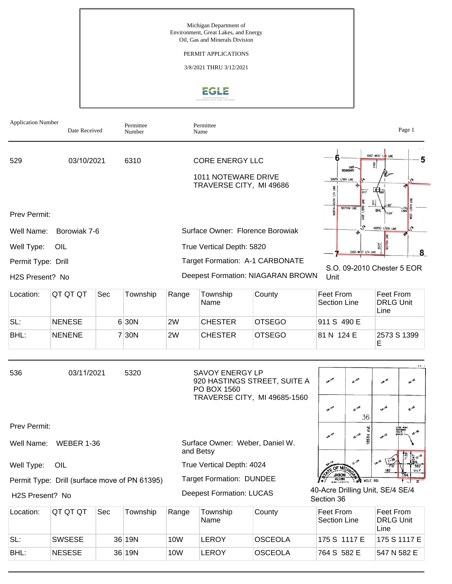Michigan Department of Environment, Great Lakes, and Energy Oil, Gas and Minerals Division

PERMIT APPLICATIONS

3/8/2021 THRU 3/12/2021

# EGLE

| <b>Application Number</b>             | Date Received                                 |     | Permittee<br>Number |                                                         | Permittee<br>Name                                                        |                                                              |                                                         | Page 1                                                                                          |  |
|---------------------------------------|-----------------------------------------------|-----|---------------------|---------------------------------------------------------|--------------------------------------------------------------------------|--------------------------------------------------------------|---------------------------------------------------------|-------------------------------------------------------------------------------------------------|--|
| 529                                   | 03/10/2021                                    |     | 6310                |                                                         | <b>CORE ENERGY LLC</b><br>1011 NOTEWARE DRIVE<br>TRAVERSE CITY, MI 49686 |                                                              | UNIT<br><b>BOUNDARY</b><br>SOUTH 1/8TH LINE<br>≝<br>817 | EAST-WEST 1/4 LINE<br>5<br>1705'<br>$\frac{1}{490}$                                             |  |
| Prev Permit:<br>Well Name:            | Borowiak 7-6                                  |     |                     |                                                         | Surface Owner: Florence Borowiak                                         |                                                              | <b>SECTION LINE</b>                                     | <b>BHL</b><br>1399<br>124'<br>NORTH-1/8TH LINE                                                  |  |
| Well Type:                            | OIL                                           |     |                     | 2573<br>True Vertical Depth: 5820<br>EAST-WEST 1/4 LINE |                                                                          |                                                              |                                                         |                                                                                                 |  |
| Permit Type: Drill<br>H2S Present? No |                                               |     |                     |                                                         | Target Formation: A-1 CARBONATE<br>Deepest Formation: NIAGARAN BROWN     | Unit                                                         | 8<br>S.O. 09-2010 Chester 5 EOR                         |                                                                                                 |  |
| Location:                             | QT QT QT                                      | Sec | Township            | Range                                                   | Township<br>Name                                                         | County                                                       | Feet From<br>Section Line                               | Feet From<br><b>DRLG Unit</b><br>Line                                                           |  |
| SL:                                   | <b>NENESE</b>                                 |     | 6 30N               | 2W                                                      | <b>CHESTER</b>                                                           | <b>OTSEGO</b>                                                | 911 S 490 E                                             |                                                                                                 |  |
| BHL:                                  | <b>NENENE</b>                                 |     | 7 30N               | 2W                                                      | <b>CHESTER</b>                                                           | <b>OTSEGO</b>                                                | 81 N 124 E                                              | 2573 S 1399<br>Е                                                                                |  |
| 536                                   | 03/11/2021                                    |     | 5320                |                                                         | <b>SAVOY ENERGY LP</b><br>PO BOX 1560                                    | 920 HASTINGS STREET, SUITE A<br>TRAVERSE CITY, MI 49685-1560 | NW-NW<br><b>SE-NW</b><br><b>SW-WW</b>                   | تكليهم<br><b>NE-ME</b><br><b>SE-NE</b>                                                          |  |
| Prev Permit:                          |                                               |     |                     |                                                         |                                                                          |                                                              | 36                                                      | ٨VE.<br>LEASE MONT.<br>SHERWOOD<br>ESTATE I                                                     |  |
|                                       | Well Name: WEBER 1-36                         |     |                     |                                                         | Surface Owner: Weber, Daniel W.<br>and Betsy                             |                                                              | <b>M-5#</b><br><b>4.5%</b>                              | <b>R5TH</b>                                                                                     |  |
| Well Type:                            | OIL                                           |     |                     |                                                         | True Vertical Depth: 4024                                                |                                                              |                                                         | 1138<br>$\frac{1}{4}$ g. s.<br>$\sqrt{1-36}$<br><b>SH-SE</b><br>582<br>180 <sup>t</sup><br>1117 |  |
|                                       | Permit Type: Drill (surface move of PN 61395) |     |                     |                                                         | <b>Target Formation: DUNDEE</b>                                          |                                                              | JASO<br>ALVM<br><b>WIE RD.</b>                          | $\mathbf{r}$                                                                                    |  |
| H2S Present? No                       |                                               |     |                     |                                                         | <b>Deepest Formation: LUCAS</b>                                          |                                                              | 40-Acre Drilling Unit, SE/4 SE/4<br>Section 36          |                                                                                                 |  |
| Location:                             | QT QT QT                                      | Sec | Township            | Range                                                   | Township<br>Name                                                         | County                                                       | Feet From<br>Section Line                               | Feet From<br><b>DRLG Unit</b><br>Line                                                           |  |
| SL:                                   | <b>SWSESE</b>                                 |     | 36 19N              | <b>10W</b>                                              | <b>LEROY</b>                                                             | <b>OSCEOLA</b>                                               | 175 S 1117 E                                            | 175 S 1117 E                                                                                    |  |

BHL: |NESESE | 36 |19N |10W |LEROY |OSCEOLA |764 S 582 E |547 N 582 E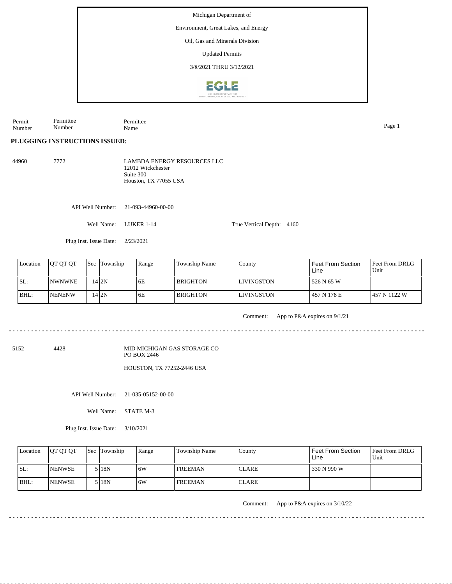Michigan Department of Environment, Great Lakes, and Energy Oil, Gas and Minerals Division Updated Permits 3/8/2021 THRU 3/12/2021**EGLE** 

Permit Number Permittee Number Permittee Name Page 1

**PLUGGING INSTRUCTIONS ISSUED:**

44960 7772 RESOURCES LLC 12012 Wickchester Suite 300 Houston, TX 77055 USA

API Well Number: 21-093-44960-00-00

Well Name: LUKER 1-14

Plug Inst. Issue Date: 2/23/2021

| Location | <b>IOT OT OT</b> | <b>Sec</b> Township | Range | Township Name   | County             | <b>Feet From Section</b><br>Line | <b>Feet From DRLG</b><br>Unit |
|----------|------------------|---------------------|-------|-----------------|--------------------|----------------------------------|-------------------------------|
| SL:      | <b>INWNWNE</b>   | 1412N               | 6E    | <b>BRIGHTON</b> | <b>ILIVINGSTON</b> | 526 N 65 W                       |                               |
| BHL:     | <b>NENENW</b>    | 14 I 2 N            | 6E    | <b>BRIGHTON</b> | <b>LIVINGSTON</b>  | 457 N 178 E                      | 1457 N 1122 W                 |

Comment: App to P&A expires on 9/1/21

5152 4428

MID MICHIGAN GAS STORAGE CO PO BOX 2446

HOUSTON, TX 77252-2446 USA

API Well Number: 21-035-05152-00-00

Well Name: STATE M-3

Plug Inst. Issue Date: 3/10/2021

| Location | <b>OT OT OT</b> | <b>Sec Township</b> | Range | <b>Township Name</b> | Countv        | Feet From Section<br>Line | <b>Feet From DRLG</b><br>Unit |
|----------|-----------------|---------------------|-------|----------------------|---------------|---------------------------|-------------------------------|
| SL:      | <b>INENWSE</b>  | 5 I 18N             | 6W    | <b>FREEMAN</b>       | <b>ICLARE</b> | 330 N 990 W               |                               |
| $IBHL$ : | <b>INENWSE</b>  | 5 I 18 N            | .6W   | <b>FREEMAN</b>       | <b>CLARE</b>  |                           |                               |

Comment: App to P&A expires on 3/10/22

<u>. . . . . . . . . . . . . . .</u>

| 44960 | 7772. | <b>LAMBDA ENERGY</b> |
|-------|-------|----------------------|
|       |       | 12012 Wickchester    |
|       |       | Suite 300            |

True Vertical Depth: 4160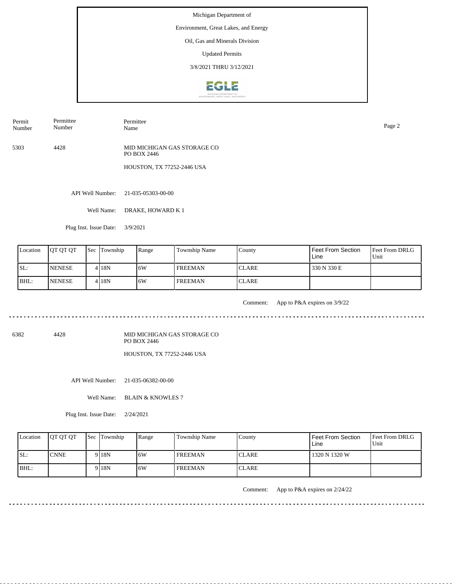Environment, Great Lakes, and Energy

## Oil, Gas and Minerals Division

Updated Permits

3/8/2021 THRU 3/12/2021



Permit Number Permittee Number

Permittee Name Page 2

5303 4428 MID MICHIGAN GAS STORAGE CO PO BOX 2446

HOUSTON, TX 77252-2446 USA

API Well Number: 21-035-05303-00-00

Well Name: DRAKE, HOWARD K 1

Plug Inst. Issue Date: 3/9/2021

| Location | <b>IOT OT OT</b> | <b>Sec Township</b> | Range | Township Name  | County       | <sup>'</sup> Feet From Section<br>Line | <b>Feet From DRLG</b><br>Unit |
|----------|------------------|---------------------|-------|----------------|--------------|----------------------------------------|-------------------------------|
| ISL:     | <b>INENESE</b>   | 4 I 18 N            | 16W   | <b>FREEMAN</b> | <b>CLARE</b> | 330 N 330 E                            |                               |
| BHL:     | <b>INENESE</b>   | 4 I 18 N            | 16W   | <b>FREEMAN</b> | <b>CLARE</b> |                                        |                               |

<u>. . . . . . . . . .</u>

Comment: App to P&A expires on 3/9/22

. . . . . . . . . . . . . . . .

6382 4428

MID MICHIGAN GAS STORAGE CO PO BOX 2446 HOUSTON, TX 77252-2446 USA

API Well Number: 21-035-06382-00-00

Well Name: BLAIN & KNOWLES 7

Plug Inst. Issue Date: 2/24/2021

| Location | <b>IOT OT OT</b> | <b>Sec</b> Township | Range | Township Name  | Countv       | l Feet From Section<br>Line | <b>Feet From DRLG</b><br>Unit |
|----------|------------------|---------------------|-------|----------------|--------------|-----------------------------|-------------------------------|
| ISL:     | <b>ICNNE</b>     | 9 <sub>18N</sub>    | 6W    | <b>FREEMAN</b> | <b>CLARE</b> | 1320 N 1320 W               |                               |
| BHL:     |                  | 9 <sub>18N</sub>    | .6W   | <b>FREEMAN</b> | <b>CLARE</b> |                             |                               |

Comment: App to P&A expires on 2/24/22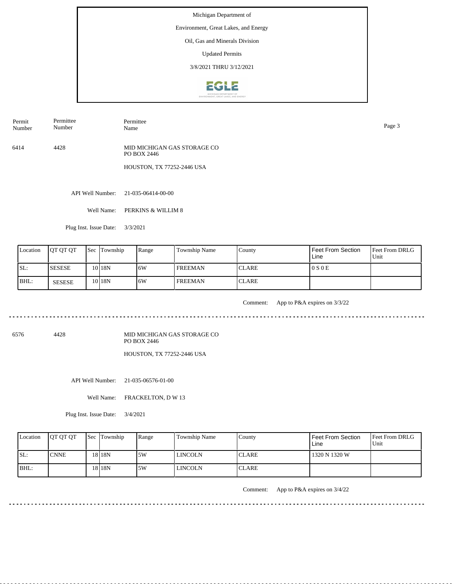Environment, Great Lakes, and Energy

# Oil, Gas and Minerals Division

Updated Permits

3/8/2021 THRU 3/12/2021



Permit Number Permittee Number

Name Page 3

Permittee

6414 4428 MID MICHIGAN GAS STORAGE CO PO BOX 2446

HOUSTON, TX 77252-2446 USA

API Well Number: 21-035-06414-00-00

Well Name: PERKINS & WILLIM 8

Plug Inst. Issue Date: 3/3/2021

| Location | <b>OT OT OT</b> | <b>Sec Township</b> | Range | <b>Township Name</b> | County        | Feet From Section<br>Line | <b>Feet From DRLG</b><br>Unit |
|----------|-----------------|---------------------|-------|----------------------|---------------|---------------------------|-------------------------------|
| ISL:     | <b>ISESESE</b>  | 10 <sub>18N</sub>   | 6W    | <b>FREEMAN</b>       | <b>ICLARE</b> | 0 S 0 E                   |                               |
| BHL:     | SESESE          | 10 <sub>18N</sub>   | 6W    | <b>FREEMAN</b>       | <b>ICLARE</b> |                           |                               |

<u>. . . . . . . . . .</u>

Comment: App to P&A expires on 3/3/22

<u>. . . . . . . . . . . . .</u>

6576 4428

MID MICHIGAN GAS STORAGE CO PO BOX 2446 HOUSTON, TX 77252-2446 USA

API Well Number: 21-035-06576-01-00

Well Name: FRACKELTON, D W 13

Plug Inst. Issue Date: 3/4/2021

| Location | <b>IOT OT OT</b> | <b>Sec Township</b> | Range | <b>Township Name</b> | County        | l Feet From Section<br>Line | <b>Feet From DRLG</b><br>Unit |
|----------|------------------|---------------------|-------|----------------------|---------------|-----------------------------|-------------------------------|
| ISL:     | <b>I</b> CNNE    | 18 18 N             | 5W    | LINCOLN              | <b>ICLARE</b> | 1320 N 1320 W               |                               |
| BHL:     |                  | 18 <sub>18N</sub>   | .5W   | <b>LINCOLN</b>       | <b>CLARE</b>  |                             |                               |

Comment: App to P&A expires on 3/4/22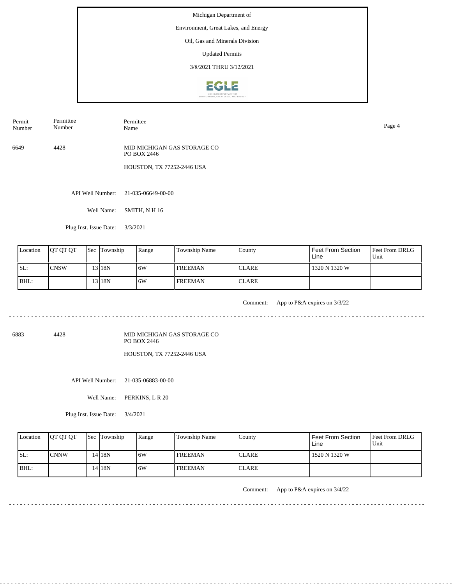Environment, Great Lakes, and Energy

## Oil, Gas and Minerals Division

Updated Permits

3/8/2021 THRU 3/12/2021



Permit Number Permittee Number

Permittee Name Page 4

6649 4428 MID MICHIGAN GAS STORAGE CO PO BOX 2446

HOUSTON, TX 77252-2446 USA

API Well Number: 21-035-06649-00-00

Well Name: SMITH, N H 16

Plug Inst. Issue Date: 3/3/2021

| Location | <b>IOT OT OT</b> | <b>Sec Township</b> | Range | Township Name  | County       | Feet From Section<br>Line | <b>Feet From DRLG</b><br>Unit |
|----------|------------------|---------------------|-------|----------------|--------------|---------------------------|-------------------------------|
| ISL:     | ICNSW            | 13 I 18 N           | 16W   | <b>FREEMAN</b> | <b>CLARE</b> | 1320 N 1320 W             |                               |
| BHL:     |                  | 13 I 18 N           | 16W   | <b>FREEMAN</b> | <b>CLARE</b> |                           |                               |

<u>. . . . . . . . . .</u>

Comment: App to P&A expires on 3/3/22

. . . . . . . . . . . . . .

6883 4428

MID MICHIGAN GAS STORAGE CO PO BOX 2446 HOUSTON, TX 77252-2446 USA

API Well Number: 21-035-06883-00-00

Well Name: PERKINS, L R 20

Plug Inst. Issue Date: 3/4/2021

| Location | <b>IOT OT OT</b> | <b>Sec Township</b> | Range | <b>Township Name</b> | County        | Feet From Section<br>Line | <b>Feet From DRLG</b><br>Unit |
|----------|------------------|---------------------|-------|----------------------|---------------|---------------------------|-------------------------------|
| SL:      | ICNNW            | 4 18N               | 6W    | <b>FREEMAN</b>       | <b>ICLARE</b> | 1520 N 1320 W             |                               |
| BHL:     |                  | 14 18N              | 6W    | <b>FREEMAN</b>       | <b>CLARE</b>  |                           |                               |

Comment: App to P&A expires on 3/4/22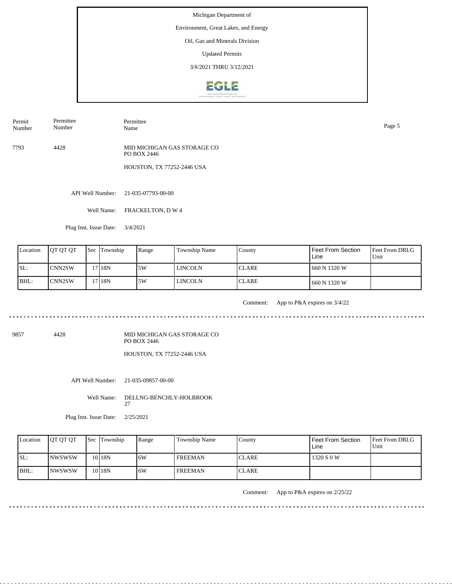Environment, Great Lakes, and Energy

## Oil, Gas and Minerals Division

Updated Permits

3/8/2021 THRU 3/12/2021



Permit Number Permittee Number

Name Page 5

Permittee

7793 4428 MID MICHIGAN GAS STORAGE CO PO BOX 2446

HOUSTON, TX 77252-2446 USA

API Well Number: 21-035-07793-00-00

Well Name: FRACKELTON, D W 4

Plug Inst. Issue Date: 3/4/2021

| Location | <b>OT OT OT</b>      | <b>Sec Township</b> | Range | <b>Township Name</b> | County        | Feet From Section<br>Line | <b>Feet From DRLG</b><br>Unit |
|----------|----------------------|---------------------|-------|----------------------|---------------|---------------------------|-------------------------------|
| SL:      | ICNN2SW              | 17 <sub>18N</sub>   | 15W   | LINCOLN              | <b>ICLARE</b> | 1 660 N 1320 W            |                               |
| BHL:     | ICNN <sub>2</sub> SW | 17 <sub>18N</sub>   | .5W   | LINCOLN              | <b>ICLARE</b> | 1 660 N 1320 W            |                               |

. . . . . . .

Comment: App to P&A expires on 3/4/22

9857 4428

MID MICHIGAN GAS STORAGE CO PO BOX 2446 HOUSTON, TX 77252-2446 USA

API Well Number: 21-035-09857-00-00

27

Well Name: DELLNG-BENCHLY-HOLBROOK

Plug Inst. Issue Date: 2/25/2021

Feet From DRLG Unit 1320 S 0 W Feet From Section Line County CLARE CLARE Location  $QT QT QT$  Sec Township Range Township Name SL: BHL: NWSWSW NWSWSW Township 10 18N 10 18N 6W 6W FREEMAN FREEMAN

Comment: App to P&A expires on 2/25/22

. . . . . . . . . . . . . . . . . . .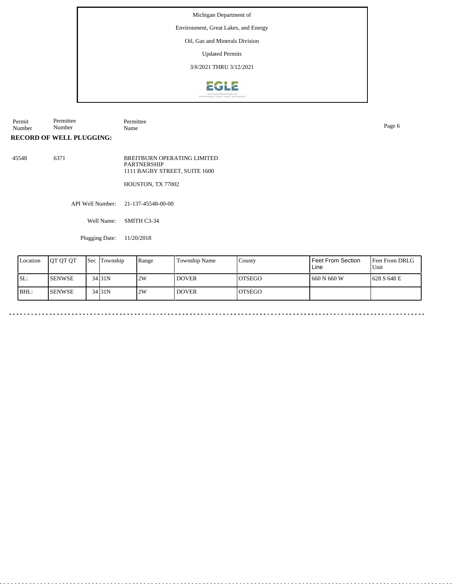Environment, Great Lakes, and Energy

Oil, Gas and Minerals Division

Updated Permits

3/8/2021 THRU 3/12/2021



Permit Number Permittee Number Permittee Name Page 6

**RECORD OF WELL PLUGGING:**

45548 6371 BREITBURN OPERATING LIMITED PARTNERSHIP 1111 BAGBY STREET, SUITE 1600

HOUSTON, TX 77002

API Well Number: 21-137-45548-00-00

Well Name: SMITH C3-34

Plugging Date: 11/20/2018

| Location | <b>IOT OT OT</b> | <b>Sec Township</b> | Range | <b>Township Name</b> | County         | l Feet From Section<br>Line | <b>Feet From DRLG</b><br>Unit |
|----------|------------------|---------------------|-------|----------------------|----------------|-----------------------------|-------------------------------|
| SL:      | <b>I</b> SENWSE  | 34 31 N             | 2W    | I DOVER              | <b>IOTSEGO</b> | 1660 N 660 W                | 1628 S 648 E                  |
| BHL:     | <b>ISENWSE</b>   | $34$ 31N            | 2W    | I DOVER              | <b>IOTSEGO</b> |                             |                               |

 $\ddot{\phantom{1}}$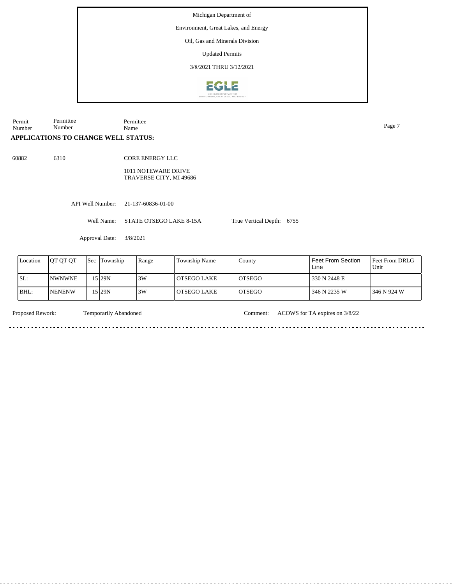Environment, Great Lakes, and Energy

Oil, Gas and Minerals Division

Updated Permits

3/8/2021 THRU 3/12/2021



Permit Number Permittee Number Permittee Name Page 7

#### **APPLICATIONS TO CHANGE WELL STATUS:**

60882 6310

CORE ENERGY LLC

1011 NOTEWARE DRIVE TRAVERSE CITY, MI 49686

<u>. . . . . . . . . . . . . . . . . .</u>

API Well Number: 21-137-60836-01-00

Well Name: STATE OTSEGO LAKE 8-15A

Approval Date: 3/8/2021

| Location | <b>IOT OT OT</b> | <b>Sec</b> | Township | Range | Township Name | County         | Feet From Section<br>Line | <b>Feet From DRLG</b><br>Unit |
|----------|------------------|------------|----------|-------|---------------|----------------|---------------------------|-------------------------------|
| SL:      | <b>NWNWNE</b>    |            | 5 29N    | 3W    | l OTSEGO LAKE | <b>IOTSEGO</b> | 330 N 2448 E              |                               |
| BHL:     | <b>NENENW</b>    |            | 5 29N    | 3W    | l OTSEGO LAKE | <b>OTSEGO</b>  | 346 N 2235 W              | 346 N 924 W                   |

. . . . . .

<u>. . . . . . .</u>

Temporarily Abandoned

<u>. . . . . . . . . . . . .</u>

Proposed Rework: Temporarily Abandoned Comment: ACOWS for TA expires on 3/8/22

True Vertical Depth: 6755